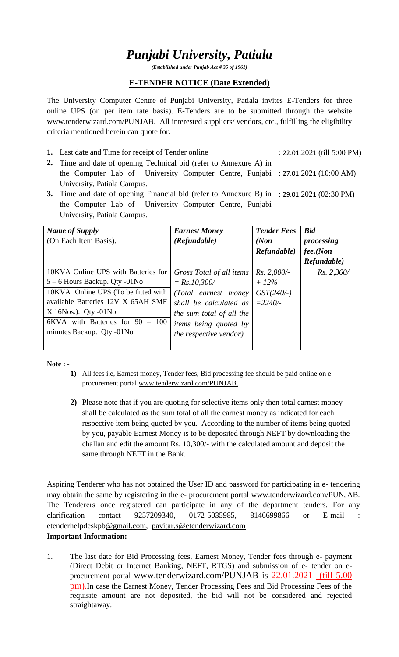# *Punjabi University, Patiala*

*(Established under Punjab Act # 35 of 1961)*

#### **E-TENDER NOTICE (Date Extended)**

The University Computer Centre of Punjabi University, Patiala invites E-Tenders for three online UPS (on per item rate basis). E-Tenders are to be submitted through the website www.tenderwizard.com/PUNJAB. All interested suppliers/ vendors, etc., fulfilling the eligibility criteria mentioned herein can quote for.

- **1.** Last date and Time for receipt of Tender online : 22.01.2021 (till 5:00 PM)
- **2.** Time and date of opening Technical bid (refer to Annexure A) in the Computer Lab of University Computer Centre, Punjabi : 27.01.2021 (10:00 AM) University, Patiala Campus.
- **3.** Time and date of opening Financial bid (refer to Annexure B) in : 29.01.2021 (02:30 PM) the Computer Lab of University Computer Centre, Punjabi University, Patiala Campus.

| Name of Supply<br>(On Each Item Basis).                                                                                                                                  | <b>Earnest Money</b><br>(Refundable)                                                                                                  | <b>Tender Fees</b><br>(Non)<br>Refundable) | <b>Bid</b><br>processing<br>fee(Non)<br>Refundable) |
|--------------------------------------------------------------------------------------------------------------------------------------------------------------------------|---------------------------------------------------------------------------------------------------------------------------------------|--------------------------------------------|-----------------------------------------------------|
| 10KVA Online UPS with Batteries for<br>$5 - 6$ Hours Backup. Qty -01No                                                                                                   | Gross Total of all items<br>$= Rs.10,300/-$                                                                                           | $Rs. 2,000/-$<br>$+12\%$                   | Rs. 2,360/                                          |
| 10KVA Online UPS (To be fitted with<br>available Batteries 12V X 65AH SMF<br>$X$ 16Nos.). Qty -01No<br>6KVA with Batteries for 90<br>$-100$<br>minutes Backup. Qty -01No | (Total earnest money)<br>shall be calculated as<br>the sum total of all the<br>items being quoted by<br><i>the respective vendor)</i> | $GST(240/-)$<br>$= 2240/$                  |                                                     |

**Note : -**

- **1)** All fees i.e, Earnest money, Tender fees, Bid processing fee should be paid online on eprocurement portal [www.tenderwizard.com/PUNJAB.](http://www.tenderwizard.com/PUNJAB)
- **2)** Please note that if you are quoting for selective items only then total earnest money shall be calculated as the sum total of all the earnest money as indicated for each respective item being quoted by you. According to the number of items being quoted by you, payable Earnest Money is to be deposited through NEFT by downloading the challan and edit the amount Rs. 10,300/- with the calculated amount and deposit the same through NEFT in the Bank.

Aspiring Tenderer who has not obtained the User ID and password for participating in e- tendering may obtain the same by registering in the e- procurement portal [www.tenderwizard.com/PUNJAB.](http://www.tenderwizard.com/PUNJAB) The Tenderers once registered can participate in any of the department tenders. For any clarification contact 9257209340, 0172-5035985, 8146699866 or E-mail etenderhelpdeskp[b@gmail.com,](mailto:@gmail.com) [pavitar.s@etenderwizard.com](mailto:pavitar.s@etenderwizard.com) **Important Information:-**

1. The last date for Bid Processing fees, Earnest Money, Tender fees through e- payment (Direct Debit or Internet Banking, NEFT, RTGS) and submission of e- tender on eprocurement portal www.tenderwizard.com/PUNJAB is 22.01.2021 (till 5.00 pm).In case the Earnest Money, Tender Processing Fees and Bid Processing Fees of the requisite amount are not deposited, the bid will not be considered and rejected straightaway.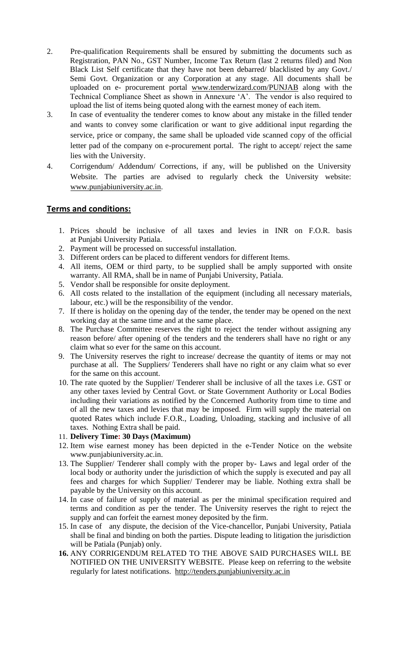- 2. Pre-qualification Requirements shall be ensured by submitting the documents such as Registration, PAN No., GST Number, Income Tax Return (last 2 returns filed) and Non Black List Self certificate that they have not been debarred/ blacklisted by any Govt./ Semi Govt. Organization or any Corporation at any stage. All documents shall be uploaded on e- procurement portal [www.tenderwizard.com/PUNJAB](http://www.tenderwizard.com/PUNJAB) along with the Technical Compliance Sheet as shown in Annexure 'A'. The vendor is also required to upload the list of items being quoted along with the earnest money of each item.
- 3. In case of eventuality the tenderer comes to know about any mistake in the filled tender and wants to convey some clarification or want to give additional input regarding the service, price or company, the same shall be uploaded vide scanned copy of the official letter pad of the company on e-procurement portal. The right to accept/ reject the same lies with the University.
- 4. Corrigendum/ Addendum/ Corrections, if any, will be published on the University Website. The parties are advised to regularly check the University website: [www.punjabiuniversity.ac.in.](http://www.punjabiuniversity.ac.in/)

#### **Terms and conditions:**

- 1. Prices should be inclusive of all taxes and levies in INR on F.O.R. basis at Punjabi University Patiala.
- 2. Payment will be processed on successful installation.
- 3. Different orders can be placed to different vendors for different Items.
- 4. All items, OEM or third party, to be supplied shall be amply supported with onsite warranty. All RMA, shall be in name of Punjabi University, Patiala.
- 5. Vendor shall be responsible for onsite deployment.
- 6. All costs related to the installation of the equipment (including all necessary materials, labour, etc.) will be the responsibility of the vendor.
- 7. If there is holiday on the opening day of the tender, the tender may be opened on the next working day at the same time and at the same place.
- 8. The Purchase Committee reserves the right to reject the tender without assigning any reason before/ after opening of the tenders and the tenderers shall have no right or any claim what so ever for the same on this account.
- 9. The University reserves the right to increase/ decrease the quantity of items or may not purchase at all. The Suppliers/ Tenderers shall have no right or any claim what so ever for the same on this account.
- 10. The rate quoted by the Supplier/ Tenderer shall be inclusive of all the taxes i.e. GST or any other taxes levied by Central Govt. or State Government Authority or Local Bodies including their variations as notified by the Concerned Authority from time to time and of all the new taxes and levies that may be imposed. Firm will supply the material on quoted Rates which include F.O.R., Loading, Unloading, stacking and inclusive of all taxes. Nothing Extra shall be paid.
- 11. **Delivery Time: 30 Days (Maximum)**
- 12. Item wise earnest money has been depicted in the e-Tender Notice on the website www.punjabiuniversity.ac.in.
- 13. The Supplier/ Tenderer shall comply with the proper by- Laws and legal order of the local body or authority under the jurisdiction of which the supply is executed and pay all fees and charges for which Supplier/ Tenderer may be liable. Nothing extra shall be payable by the University on this account.
- 14. In case of failure of supply of material as per the minimal specification required and terms and condition as per the tender. The University reserves the right to reject the supply and can forfeit the earnest money deposited by the firm.
- 15. In case of any dispute, the decision of the Vice-chancellor, Punjabi University, Patiala shall be final and binding on both the parties. Dispute leading to litigation the jurisdiction will be Patiala (Punjab) only.
- **16.** ANY CORRIGENDUM RELATED TO THE ABOVE SAID PURCHASES WILL BE NOTIFIED ON THE UNIVERSITY WEBSITE. Please keep on referring to the website regularly for latest notifications. [http://tenders.punjabiuniversity.ac.in](http://tenders.punjabiuniversity.ac.in/)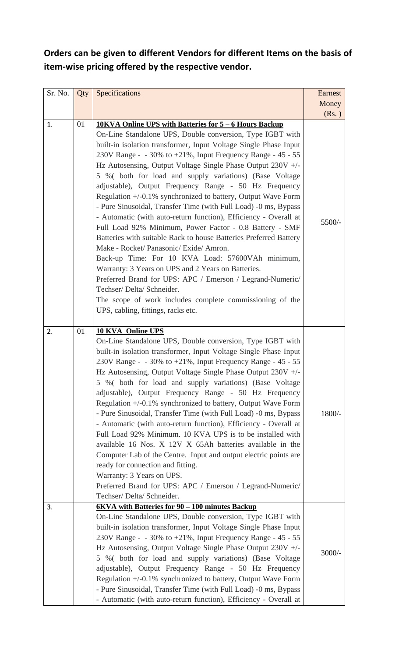## **Orders can be given to different Vendors for different Items on the basis of item-wise pricing offered by the respective vendor.**

| Sr. No. | Qty | Specifications                                                                                                                                                                                                                                                                                                                                                                                                                                                                                                                                                                                                                                                                                                                                                                                                                                                                                                                                                                                                                                                                                                                         | Earnest  |
|---------|-----|----------------------------------------------------------------------------------------------------------------------------------------------------------------------------------------------------------------------------------------------------------------------------------------------------------------------------------------------------------------------------------------------------------------------------------------------------------------------------------------------------------------------------------------------------------------------------------------------------------------------------------------------------------------------------------------------------------------------------------------------------------------------------------------------------------------------------------------------------------------------------------------------------------------------------------------------------------------------------------------------------------------------------------------------------------------------------------------------------------------------------------------|----------|
|         |     |                                                                                                                                                                                                                                                                                                                                                                                                                                                                                                                                                                                                                                                                                                                                                                                                                                                                                                                                                                                                                                                                                                                                        | Money    |
|         |     |                                                                                                                                                                                                                                                                                                                                                                                                                                                                                                                                                                                                                                                                                                                                                                                                                                                                                                                                                                                                                                                                                                                                        | (Rs.)    |
| 1.      | 01  | 10KVA Online UPS with Batteries for 5 - 6 Hours Backup<br>On-Line Standalone UPS, Double conversion, Type IGBT with<br>built-in isolation transformer, Input Voltage Single Phase Input<br>230V Range - $-30\%$ to $+21\%$ , Input Frequency Range - 45 - 55<br>Hz Autosensing, Output Voltage Single Phase Output 230V +/-<br>5 % (both for load and supply variations) (Base Voltage<br>adjustable), Output Frequency Range - 50 Hz Frequency<br>Regulation +/-0.1% synchronized to battery, Output Wave Form<br>- Pure Sinusoidal, Transfer Time (with Full Load) -0 ms, Bypass<br>- Automatic (with auto-return function), Efficiency - Overall at<br>Full Load 92% Minimum, Power Factor - 0.8 Battery - SMF<br>Batteries with suitable Rack to house Batteries Preferred Battery<br>Make - Rocket/ Panasonic/ Exide/ Amron.<br>Back-up Time: For 10 KVA Load: 57600VAh minimum,<br>Warranty: 3 Years on UPS and 2 Years on Batteries.<br>Preferred Brand for UPS: APC / Emerson / Legrand-Numeric/<br>Techser/Delta/Schneider.<br>The scope of work includes complete commissioning of the<br>UPS, cabling, fittings, racks etc. | 5500/-   |
| 2.      | 01  | <b>10 KVA Online UPS</b><br>On-Line Standalone UPS, Double conversion, Type IGBT with<br>built-in isolation transformer, Input Voltage Single Phase Input<br>230V Range - - 30% to +21%, Input Frequency Range - 45 - 55<br>Hz Autosensing, Output Voltage Single Phase Output 230V +/-<br>5 % (both for load and supply variations) (Base Voltage<br>adjustable), Output Frequency Range - 50 Hz Frequency<br>Regulation +/-0.1% synchronized to battery, Output Wave Form<br>- Pure Sinusoidal, Transfer Time (with Full Load) -0 ms, Bypass<br>- Automatic (with auto-return function), Efficiency - Overall at<br>Full Load 92% Minimum. 10 KVA UPS is to be installed with<br>available 16 Nos. X 12V X 65Ah batteries available in the<br>Computer Lab of the Centre. Input and output electric points are<br>ready for connection and fitting.<br>Warranty: 3 Years on UPS.<br>Preferred Brand for UPS: APC / Emerson / Legrand-Numeric/<br>Techser/ Delta/ Schneider.                                                                                                                                                          | 1800/-   |
| 3.      |     | 6KVA with Batteries for 90 - 100 minutes Backup<br>On-Line Standalone UPS, Double conversion, Type IGBT with<br>built-in isolation transformer, Input Voltage Single Phase Input<br>230V Range - $-30\%$ to $+21\%$ , Input Frequency Range - 45 - 55<br>Hz Autosensing, Output Voltage Single Phase Output 230V +/-<br>5 % (both for load and supply variations) (Base Voltage<br>adjustable), Output Frequency Range - 50 Hz Frequency<br>Regulation +/-0.1% synchronized to battery, Output Wave Form<br>- Pure Sinusoidal, Transfer Time (with Full Load) -0 ms, Bypass<br>- Automatic (with auto-return function), Efficiency - Overall at                                                                                                                                                                                                                                                                                                                                                                                                                                                                                        | $3000/-$ |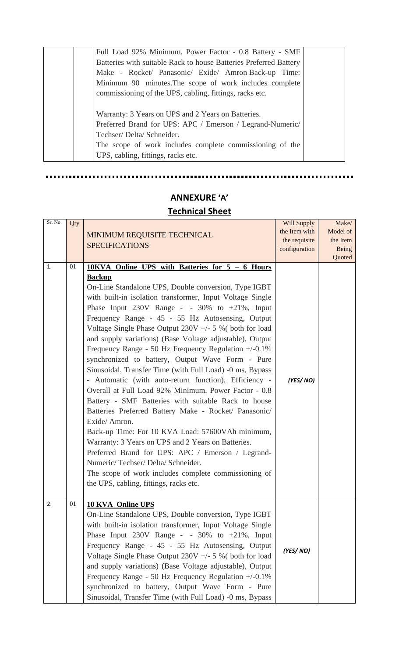| Full Load 92% Minimum, Power Factor - 0.8 Battery - SMF           |  |
|-------------------------------------------------------------------|--|
| Batteries with suitable Rack to house Batteries Preferred Battery |  |
| Make - Rocket/ Panasonic/ Exide/ Amron Back-up Time:              |  |
| Minimum 90 minutes. The scope of work includes complete           |  |
| commissioning of the UPS, cabling, fittings, racks etc.           |  |
|                                                                   |  |
| Warranty: 3 Years on UPS and 2 Years on Batteries.                |  |
| Preferred Brand for UPS: APC / Emerson / Legrand-Numeric/         |  |
| Techser/Delta/Schneider.                                          |  |
| The scope of work includes complete commissioning of the          |  |
| UPS, cabling, fittings, racks etc.                                |  |

### **ANNEXURE 'A' Technical Sheet**

 $\mathbf{r}$ 

. . . . . . .

| Sr. No.        | Qty | MINIMUM REQUISITE TECHNICAL<br><b>SPECIFICATIONS</b>                                                                                                                                                                                                                                                                                                                                                                                                                                                                                                                                                                                                                                                                                                                                                                                                                                                                                                                                                                                                                                                                                                         | Will Supply<br>the Item with<br>the requisite<br>configuration | Make/<br>Model of<br>the Item<br>Being<br>Quoted |
|----------------|-----|--------------------------------------------------------------------------------------------------------------------------------------------------------------------------------------------------------------------------------------------------------------------------------------------------------------------------------------------------------------------------------------------------------------------------------------------------------------------------------------------------------------------------------------------------------------------------------------------------------------------------------------------------------------------------------------------------------------------------------------------------------------------------------------------------------------------------------------------------------------------------------------------------------------------------------------------------------------------------------------------------------------------------------------------------------------------------------------------------------------------------------------------------------------|----------------------------------------------------------------|--------------------------------------------------|
| $\mathbf{1}$ . | 01  | 10KVA Online UPS with Batteries for 5 - 6 Hours<br><b>Backup</b><br>On-Line Standalone UPS, Double conversion, Type IGBT<br>with built-in isolation transformer, Input Voltage Single<br>Phase Input $230V$ Range - - $30\%$ to $+21\%$ , Input<br>Frequency Range - 45 - 55 Hz Autosensing, Output<br>Voltage Single Phase Output $230V + -5$ % (both for load<br>and supply variations) (Base Voltage adjustable), Output<br>Frequency Range - 50 Hz Frequency Regulation $+/-0.1\%$<br>synchronized to battery, Output Wave Form - Pure<br>Sinusoidal, Transfer Time (with Full Load) -0 ms, Bypass<br>- Automatic (with auto-return function), Efficiency -<br>Overall at Full Load 92% Minimum, Power Factor - 0.8<br>Battery - SMF Batteries with suitable Rack to house<br>Batteries Preferred Battery Make - Rocket/ Panasonic/<br>Exide/Amron.<br>Back-up Time: For 10 KVA Load: 57600VAh minimum,<br>Warranty: 3 Years on UPS and 2 Years on Batteries.<br>Preferred Brand for UPS: APC / Emerson / Legrand-<br>Numeric/Techser/Delta/Schneider.<br>The scope of work includes complete commissioning of<br>the UPS, cabling, fittings, racks etc. | (YES/NO)                                                       |                                                  |
| 2.             | 01  | <b>10 KVA Online UPS</b><br>On-Line Standalone UPS, Double conversion, Type IGBT<br>with built-in isolation transformer, Input Voltage Single<br>Phase Input $230V$ Range - - $30\%$ to $+21\%$ , Input<br>Frequency Range - 45 - 55 Hz Autosensing, Output<br>Voltage Single Phase Output $230V + -5$ % (both for load<br>and supply variations) (Base Voltage adjustable), Output<br>Frequency Range - 50 Hz Frequency Regulation $+/-0.1\%$<br>synchronized to battery, Output Wave Form - Pure<br>Sinusoidal, Transfer Time (with Full Load) -0 ms, Bypass                                                                                                                                                                                                                                                                                                                                                                                                                                                                                                                                                                                               | (YES/NO)                                                       |                                                  |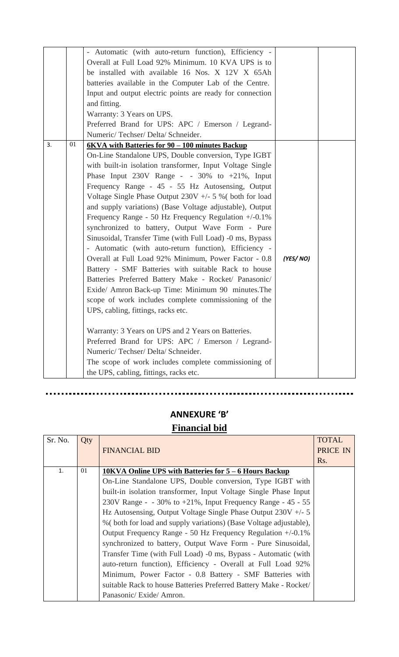|    |    | - Automatic (with auto-return function), Efficiency -<br>Overall at Full Load 92% Minimum. 10 KVA UPS is to<br>be installed with available 16 Nos. X 12V X 65Ah<br>batteries available in the Computer Lab of the Centre.<br>Input and output electric points are ready for connection<br>and fitting.<br>Warranty: 3 Years on UPS.<br>Preferred Brand for UPS: APC / Emerson / Legrand-<br>Numeric/Techser/Delta/Schneider.                                                                                                                                                                                                                                                                                                                                                                                                                                                                                                                                                                                                                                                                                                                                                                                               |          |  |
|----|----|----------------------------------------------------------------------------------------------------------------------------------------------------------------------------------------------------------------------------------------------------------------------------------------------------------------------------------------------------------------------------------------------------------------------------------------------------------------------------------------------------------------------------------------------------------------------------------------------------------------------------------------------------------------------------------------------------------------------------------------------------------------------------------------------------------------------------------------------------------------------------------------------------------------------------------------------------------------------------------------------------------------------------------------------------------------------------------------------------------------------------------------------------------------------------------------------------------------------------|----------|--|
| 3. | 01 | 6KVA with Batteries for 90 - 100 minutes Backup<br>On-Line Standalone UPS, Double conversion, Type IGBT<br>with built-in isolation transformer, Input Voltage Single<br>Phase Input $230V$ Range - - $30\%$ to $+21\%$ , Input<br>Frequency Range - 45 - 55 Hz Autosensing, Output<br>Voltage Single Phase Output $230V + -5$ % (both for load<br>and supply variations) (Base Voltage adjustable), Output<br>Frequency Range - 50 Hz Frequency Regulation $+/0.1\%$<br>synchronized to battery, Output Wave Form - Pure<br>Sinusoidal, Transfer Time (with Full Load) -0 ms, Bypass<br>- Automatic (with auto-return function), Efficiency -<br>Overall at Full Load 92% Minimum, Power Factor - 0.8<br>Battery - SMF Batteries with suitable Rack to house<br>Batteries Preferred Battery Make - Rocket/ Panasonic/<br>Exide/ Amron Back-up Time: Minimum 90 minutes. The<br>scope of work includes complete commissioning of the<br>UPS, cabling, fittings, racks etc.<br>Warranty: 3 Years on UPS and 2 Years on Batteries.<br>Preferred Brand for UPS: APC / Emerson / Legrand-<br>Numeric/Techser/Delta/Schneider.<br>The scope of work includes complete commissioning of<br>the UPS, cabling, fittings, racks etc. | (YES/NO) |  |

## **ANNEXURE 'B' Financial bid**

.............

| Sr. No. | Qty | <b>FINANCIAL BID</b>                                               | <b>TOTAL</b><br>PRICE IN<br>Rs. |
|---------|-----|--------------------------------------------------------------------|---------------------------------|
| 1.      | 01  | 10KVA Online UPS with Batteries for 5 – 6 Hours Backup             |                                 |
|         |     | On-Line Standalone UPS, Double conversion, Type IGBT with          |                                 |
|         |     | built-in isolation transformer, Input Voltage Single Phase Input   |                                 |
|         |     | 230V Range - $-30\%$ to $+21\%$ , Input Frequency Range - 45 - 55  |                                 |
|         |     | Hz Autosensing, Output Voltage Single Phase Output $230V + 5$      |                                 |
|         |     | % (both for load and supply variations) (Base Voltage adjustable), |                                 |
|         |     | Output Frequency Range - 50 Hz Frequency Regulation $+/-0.1\%$     |                                 |
|         |     | synchronized to battery, Output Wave Form - Pure Sinusoidal,       |                                 |
|         |     | Transfer Time (with Full Load) -0 ms, Bypass - Automatic (with     |                                 |
|         |     | auto-return function), Efficiency - Overall at Full Load 92%       |                                 |
|         |     | Minimum, Power Factor - 0.8 Battery - SMF Batteries with           |                                 |
|         |     | suitable Rack to house Batteries Preferred Battery Make - Rocket/  |                                 |
|         |     | Panasonic/Exide/Amron.                                             |                                 |